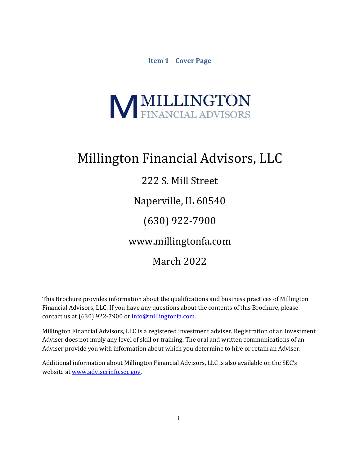**Item 1 – Cover Page**

# <span id="page-0-0"></span>**MILLINGTON**<br>FINANCIAL ADVISORS

# Millington Financial Advisors, LLC

# 222 S. Mill Street

Naperville, IL 60540

(630) 922-7900

[www.millingtonfa.com](http://www.millingtonfa.com/)

# March 2022

This Brochure provides information about the qualifications and business practices of Millington Financial Advisors, LLC. If you have any questions about the contents of this Brochure, please contact us at (630) 922-7900 or [info@millingtonfa.com.](mailto:info@millingtonfa.com)

Millington Financial Advisors, LLC is a registered investment adviser. Registration of an Investment Adviser does not imply any level of skill or training. The oral and written communications of an Adviser provide you with information about which you determine to hire or retain an Adviser.

Additional information about Millington Financial Advisors, LLC is also available on the SEC's website a[t www.adviserinfo.sec.gov.](http://www.adviserinfo.sec.gov/)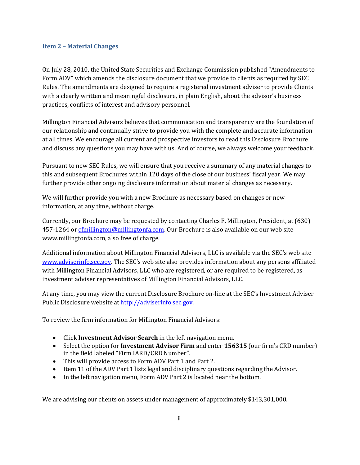# <span id="page-1-0"></span>**Item 2 – Material Changes**

On July 28, 2010, the United State Securities and Exchange Commission published "Amendments to Form ADV" which amends the disclosure document that we provide to clients as required by SEC Rules. The amendments are designed to require a registered investment adviser to provide Clients with a clearly written and meaningful disclosure, in plain English, about the advisor's business practices, conflicts of interest and advisory personnel.

Millington Financial Advisors believes that communication and transparency are the foundation of our relationship and continually strive to provide you with the complete and accurate information at all times. We encourage all current and prospective investors to read this Disclosure Brochure and discuss any questions you may have with us. And of course, we always welcome your feedback.

Pursuant to new SEC Rules, we will ensure that you receive a summary of any material changes to this and subsequent Brochures within 120 days of the close of our business' fiscal year. We may further provide other ongoing disclosure information about material changes as necessary.

We will further provide you with a new Brochure as necessary based on changes or new information, at any time, without charge.

Currently, our Brochure may be requested by contacting Charles F. Millington, President, at (630) 457-1264 o[r cfmillington@millingtonfa.com.](mailto:cfmillington@millingtonfa.com) Our Brochure is also available on our web site [www.millingtonfa.com, a](http://www.millingtonfa.com/)lso free of charge.

Additional information about Millington Financial Advisors, LLC is available via the SEC's web site [www.adviserinfo.sec.gov. T](http://www.adviserinfo.sec.gov/)he SEC's web site also provides information about any persons affiliated with Millington Financial Advisors, LLC who are registered, or are required to be registered, as investment adviser representatives of Millington Financial Advisors, LLC.

At any time, you may view the current Disclosure Brochure on-line at the SEC's Investment Adviser Public Disclosure website at [http://adviserinfo.sec.gov.](http://adviserinfo.sec.gov/)

To review the firm information for Millington Financial Advisors:

- Click **Investment Advisor Search** in the left navigation menu.
- Select the option for **Investment Advisor Firm** and enter **156315** (our firm's CRD number) in the field labeled "Firm IARD/CRD Number".
- This will provide access to Form ADV Part 1 and Part 2.
- Item 11 of the ADV Part 1 lists legal and disciplinary questions regarding the Advisor.
- In the left navigation menu, Form ADV Part 2 is located near the bottom.

We are advising our clients on assets under management of approximately \$143,301,000.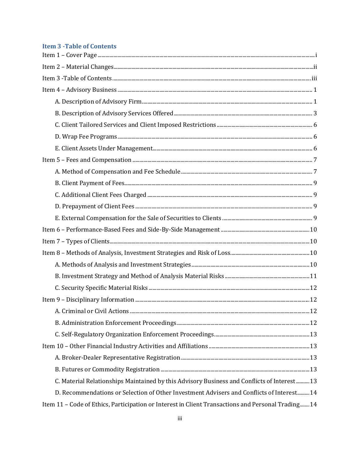# <span id="page-2-0"></span>**Item 3 - Table of Contents**

| C. Material Relationships Maintained by this Advisory Business and Conflicts of Interest13         |  |  |
|----------------------------------------------------------------------------------------------------|--|--|
| D. Recommendations or Selection of Other Investment Advisers and Conflicts of Interest 14          |  |  |
| Item 11 - Code of Ethics, Participation or Interest in Client Transactions and Personal Trading 14 |  |  |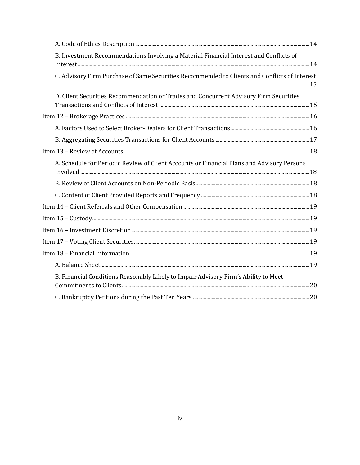| B. Investment Recommendations Involving a Material Financial Interest and Conflicts of |                                                                                                             |  |
|----------------------------------------------------------------------------------------|-------------------------------------------------------------------------------------------------------------|--|
|                                                                                        | C. Advisory Firm Purchase of Same Securities Recommended to Clients and Conflicts of Interest               |  |
|                                                                                        | D. Client Securities Recommendation or Trades and Concurrent Advisory Firm Securities                       |  |
|                                                                                        |                                                                                                             |  |
|                                                                                        |                                                                                                             |  |
|                                                                                        |                                                                                                             |  |
|                                                                                        |                                                                                                             |  |
|                                                                                        |                                                                                                             |  |
|                                                                                        | A. Schedule for Periodic Review of Client Accounts or Financial Plans and Advisory Persons<br>Involved   18 |  |
|                                                                                        |                                                                                                             |  |
|                                                                                        |                                                                                                             |  |
|                                                                                        |                                                                                                             |  |
|                                                                                        |                                                                                                             |  |
|                                                                                        |                                                                                                             |  |
|                                                                                        |                                                                                                             |  |
|                                                                                        |                                                                                                             |  |
|                                                                                        |                                                                                                             |  |
|                                                                                        | B. Financial Conditions Reasonably Likely to Impair Advisory Firm's Ability to Meet                         |  |
|                                                                                        |                                                                                                             |  |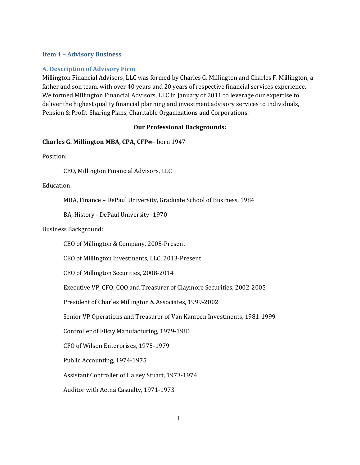# <span id="page-4-0"></span>**Item 4 – Advisory Business**

# <span id="page-4-1"></span>**A. Description of Advisory Firm**

Millington Financial Advisors, LLC was formed by Charles G. Millington and Charles F. Millington, a father and son team, with over 40 years and 20 years of respective financial services experience. We formed Millington Financial Advisors, LLC in January of 2011 to leverage our expertise to deliver the highest quality financial planning and investment advisory services to individuals, Pension & Profit-Sharing Plans, Charitable Organizations and Corporations.

# **Our Professional Backgrounds:**

# **Charles G. Millington MBA, CPA, CFP®**– born 1947

Position:

CEO, Millington Financial Advisors, LLC

Education:

MBA, Finance – DePaul University, Graduate School of Business, 1984

BA, History - DePaul University -1970

Business Background:

CEO of Millington & Company, 2005-Present

CEO of Millington Investments, LLC, 2013-Present

CEO of Millington Securities, 2008-2014

Executive VP, CFO, COO and Treasurer of Claymore Securities, 2002-2005

President of Charles Millington & Associates, 1999-2002

Senior VP Operations and Treasurer of Van Kampen Investments, 1981-1999

Controller of Elkay Manufacturing, 1979-1981

CFO of Wilson Enterprises, 1975-1979

Public Accounting, 1974-1975

Assistant Controller of Halsey Stuart, 1973-1974

Auditor with Aetna Casualty, 1971-1973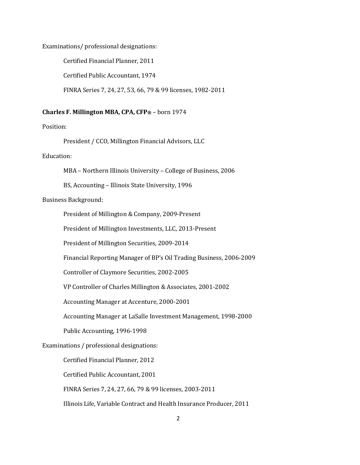Examinations/ professional designations:

Certified Financial Planner, 2011 Certified Public Accountant, 1974

FINRA Series 7, 24, 27, 53, 66, 79 & 99 licenses, 1982-2011

#### **Charles F. Millington MBA, CPA, CFP®** – born 1974

Position:

President / CCO, Millington Financial Advisors, LLC

Education:

MBA – Northern Illinois University – College of Business, 2006

BS, Accounting – Illinois State University, 1996

Business Background:

President of Millington & Company, 2009-Present

President of Millington Investments, LLC, 2013-Present

President of Millington Securities, 2009-2014

Financial Reporting Manager of BP's Oil Trading Business, 2006-2009

Controller of Claymore Securities, 2002-2005

VP Controller of Charles Millington & Associates, 2001-2002

Accounting Manager at Accenture, 2000-2001

Accounting Manager at LaSalle Investment Management, 1998-2000

Public Accounting, 1996-1998

# Examinations / professional designations:

Certified Financial Planner, 2012

Certified Public Accountant, 2001

FINRA Series 7, 24, 27, 66, 79 & 99 licenses, 2003-2011

Illinois Life, Variable Contract and Health Insurance Producer, 2011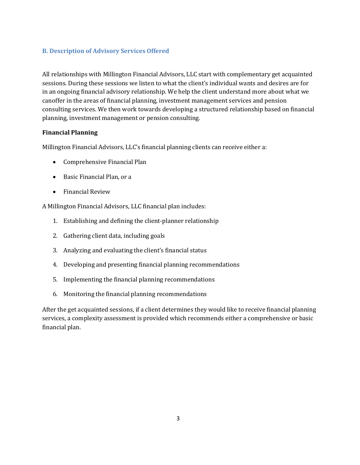# <span id="page-6-0"></span>**B. Description of Advisory Services Offered**

All relationships with Millington Financial Advisors, LLC start with complementary get acquainted sessions. During these sessions we listen to what the client's individual wants and desires are for in an ongoing financial advisory relationship. We help the client understand more about what we can offer in the areas of financial planning, investment management services and pension consulting services. We then work towards developing a structured relationship based on financial planning, investment management or pension consulting.

# **Financial Planning**

Millington Financial Advisors, LLC's financial planning clients can receive either a:

- Comprehensive Financial Plan
- Basic Financial Plan, or a
- Financial Review

A Millington Financial Advisors, LLC financial plan includes:

- 1. Establishing and defining the client-planner relationship
- 2. Gathering client data, including goals
- 3. Analyzing and evaluating the client's financial status
- 4. Developing and presenting financial planning recommendations
- 5. Implementing the financial planning recommendations
- 6. Monitoring the financial planning recommendations

After the get acquainted sessions, if a client determines they would like to receive financial planning services, a complexity assessment is provided which recommends either a comprehensive or basic financial plan.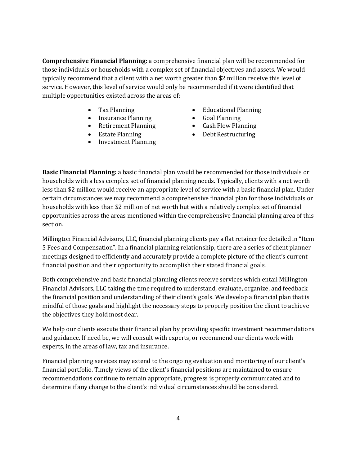**Comprehensive Financial Planning:** a comprehensive financial plan will be recommended for those individuals or households with a complex set of financial objectives and assets. We would typically recommend that a client with a net worth greater than \$2 million receive this level of service. However, this level of service would only be recommended if it were identified that multiple opportunities existed across the areas of:

- 
- Insurance Planning Goal Planning
- Retirement Planning Cash Flow Planning
- Estate Planning
- Investment Planning
- Tax Planning **Educational Planning** 
	-
	-
	- Debt Restructuring

**Basic Financial Planning:** a basic financial plan would be recommended for those individuals or households with a less complex set of financial planning needs. Typically, clients with a net worth less than \$2 million would receive an appropriate level of service with a basic financial plan. Under certain circumstances we may recommend a comprehensive financial plan for those individuals or households with less than \$2 million of net worth but with a relatively complex set of financial opportunities across the areas mentioned within the comprehensive financial planning area of this section.

Millington Financial Advisors, LLC, financial planning clients pay a flat retainer fee detailed in "Item 5 Fees and Compensation". In a financial planning relationship, there are a series of client planner meetings designed to efficiently and accurately provide a complete picture of the client's current financial position and their opportunity to accomplish their stated financial goals.

Both comprehensive and basic financial planning clients receive services which entail Millington Financial Advisors, LLC taking the time required to understand, evaluate, organize, and feedback the financial position and understanding of their client's goals. We develop a financial plan that is mindful of those goals and highlight the necessary steps to properly position the client to achieve the objectives they hold most dear.

We help our clients execute their financial plan by providing specific investment recommendations and guidance. If need be, we will consult with experts, or recommend our clients work with experts, in the areas of law, tax and insurance.

Financial planning services may extend to the ongoing evaluation and monitoring of our client's financial portfolio. Timely views of the client's financial positions are maintained to ensure recommendations continue to remain appropriate, progress is properly communicated and to determine if any change to the client's individual circumstances should be considered.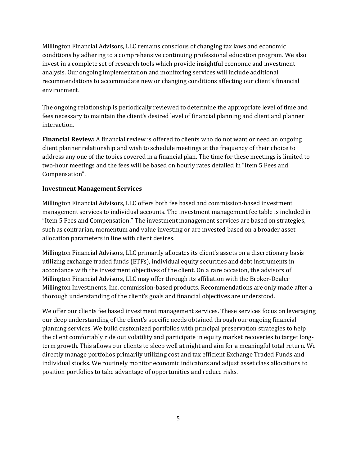Millington Financial Advisors, LLC remains conscious of changing tax laws and economic conditions by adhering to a comprehensive continuing professional education program. We also invest in a complete set of research tools which provide insightful economic and investment analysis. Our ongoing implementation and monitoring services will include additional recommendations to accommodate new or changing conditions affecting our client's financial environment.

The ongoing relationship is periodically reviewed to determine the appropriate level of time and fees necessary to maintain the client's desired level of financial planning and client and planner interaction.

**Financial Review:** A financial review is offered to clients who do not want or need an ongoing client planner relationship and wish to schedule meetings at the frequency of their choice to address any one of the topics covered in a financial plan. The time for these meetings is limited to two-hour meetings and the fees will be based on hourly rates detailed in "Item 5 Fees and Compensation".

# **Investment Management Services**

Millington Financial Advisors, LLC offers both fee based and commission-based investment management services to individual accounts. The investment management fee table is included in "Item 5 Fees and Compensation." The investment management services are based on strategies, such as contrarian, momentum and value investing or are invested based on a broader asset allocation parameters in line with client desires.

Millington Financial Advisors, LLC primarily allocates its client's assets on a discretionary basis utilizing exchange traded funds (ETFs), individual equity securities and debt instruments in accordance with the investment objectives of the client. On a rare occasion, the advisors of Millington Financial Advisors, LLC may offer through its affiliation with the Broker-Dealer Millington Investments, Inc. commission-based products. Recommendations are only made after a thorough understanding of the client's goals and financial objectives are understood.

We offer our clients fee based investment management services. These services focus on leveraging our deep understanding of the client's specific needs obtained through our ongoing financial planning services. We build customized portfolios with principal preservation strategies to help the client comfortably ride out volatility and participate in equity market recoveries to target longterm growth. This allows our clients to sleep well at night and aim for a meaningful total return. We directly manage portfolios primarily utilizing cost and tax efficient Exchange Traded Funds and individual stocks. We routinely monitor economic indicators and adjust asset class allocations to position portfolios to take advantage of opportunities and reduce risks.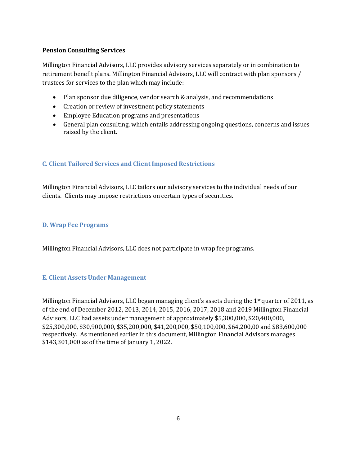# **Pension Consulting Services**

Millington Financial Advisors, LLC provides advisory services separately or in combination to retirement benefit plans. Millington Financial Advisors, LLC will contract with plan sponsors / trustees for services to the plan which may include:

- Plan sponsor due diligence, vendor search & analysis, and recommendations
- Creation or review of investment policy statements
- Employee Education programs and presentations
- General plan consulting, which entails addressing ongoing questions, concerns and issues raised by the client.

# <span id="page-9-0"></span>**C. Client Tailored Services and Client Imposed Restrictions**

Millington Financial Advisors, LLC tailors our advisory services to the individual needs of our clients. Clients may impose restrictions on certain types of securities.

# <span id="page-9-1"></span>**D. Wrap Fee Programs**

Millington Financial Advisors, LLC does not participate in wrap fee programs.

# <span id="page-9-2"></span>**E. Client Assets Under Management**

Millington Financial Advisors, LLC began managing client's assets during the  $1<sup>st</sup>$  quarter of 2011, as of the end of December 2012, 2013, 2014, 2015, 2016, 2017, 2018 and 2019 Millington Financial Advisors, LLC had assets under management of approximately \$5,300,000, \$20,400,000, \$25,300,000, \$30,900,000, \$35,200,000, \$41,200,000, \$50,100,000, \$64,200,00 and \$83,600,000 respectively. As mentioned earlier in this document, Millington Financial Advisors manages \$143,301,000 as of the time of January 1, 2022.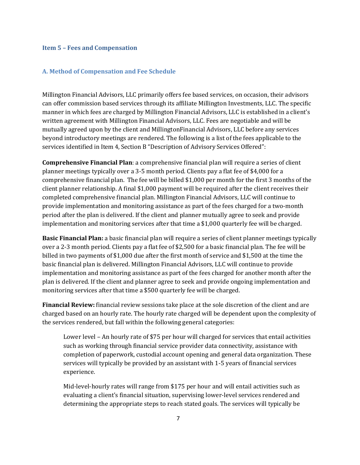#### <span id="page-10-0"></span>**Item 5 – Fees and Compensation**

### <span id="page-10-1"></span>**A. Method of Compensation and Fee Schedule**

Millington Financial Advisors, LLC primarily offers fee based services, on occasion, their advisors can offer commission based services through its affiliate Millington Investments, LLC. The specific manner in which fees are charged by Millington Financial Advisors, LLC is established in a client's written agreement with Millington Financial Advisors, LLC. Fees are negotiable and will be mutually agreed upon by the client and Millington Financial Advisors, LLC before any services beyond introductory meetings are rendered. The following is a list of the fees applicable to the services identified in Item 4, Section B "Description of Advisory Services Offered":

**Comprehensive Financial Plan**: a comprehensive financial plan will require a series of client planner meetings typically over a 3-5 month period. Clients pay a flat fee of \$4,000 for a comprehensive financial plan. The fee will be billed \$1,000 per month for the first 3 months of the client planner relationship. A final \$1,000 payment will be required after the client receives their completed comprehensive financial plan. Millington Financial Advisors, LLC will continue to provide implementation and monitoring assistance as part of the fees charged for a two-month period after the plan is delivered. If the client and planner mutually agree to seek and provide implementation and monitoring services after that time a \$1,000 quarterly fee will be charged.

**Basic Financial Plan:** a basic financial plan will require a series of client planner meetings typically over a 2-3 month period. Clients pay a flat fee of \$2,500 for a basic financial plan. The fee will be billed in two payments of \$1,000 due after the first month of service and \$1,500 at the time the basic financial plan is delivered. Millington Financial Advisors, LLC will continue to provide implementation and monitoring assistance as part of the fees charged for another month after the plan is delivered. If the client and planner agree to seek and provide ongoing implementation and monitoring services after that time a \$500 quarterly fee will be charged.

**Financial Review:** financial review sessions take place at the sole discretion of the client and are charged based on an hourly rate. The hourly rate charged will be dependent upon the complexity of the services rendered, but fall within the following general categories:

Lower level – An hourly rate of \$75 per hour will charged for services that entail activities such as working through financial service provider data connectivity, assistance with completion of paperwork, custodial account opening and general data organization. These services will typically be provided by an assistant with 1-5 years of financial services experience.

Mid-level-hourly rates will range from \$175 per hour and will entail activities such as evaluating a client's financial situation, supervising lower-level services rendered and determining the appropriate steps to reach stated goals. The services will typically be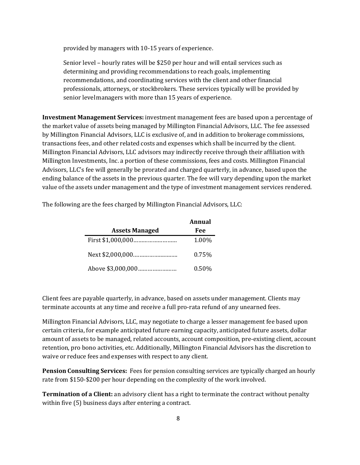provided by managers with 10-15 years of experience.

Senior level – hourly rates will be \$250 per hour and will entail services such as determining and providing recommendations to reach goals, implementing recommendations, and coordinating services with the client and other financial professionals, attorneys, or stockbrokers. These services typically will be provided by senior level managers with more than 15 years of experience.

**Investment Management Services:** investment management fees are based upon a percentage of the market value of assets being managed by Millington Financial Advisors, LLC. The fee assessed by Millington Financial Advisors, LLC is exclusive of, and in addition to brokerage commissions, transactions fees, and other related costs and expenses which shall be incurred by the client. Millington Financial Advisors, LLC advisors may indirectly receive through their affiliation with Millington Investments, Inc. a portion of these commissions, fees and costs. Millington Financial Advisors, LLC's fee will generally be prorated and charged quarterly, in advance, based upon the ending balance of the assets in the previous quarter. The fee will vary depending upon the market value of the assets under management and the type of investment management services rendered.

|                       | Annual   |
|-----------------------|----------|
| <b>Assets Managed</b> | Fee      |
| First \$1,000,000     | 1.00%    |
|                       | 0.75%    |
|                       | $0.50\%$ |

The following are the fees charged by Millington Financial Advisors, LLC:

Client fees are payable quarterly, in advance, based on assets under management. Clients may terminate accounts at any time and receive a full pro-rata refund of any unearned fees.

Millington Financial Advisors, LLC, may negotiate to charge a lesser management fee based upon certain criteria, for example anticipated future earning capacity, anticipated future assets, dollar amount of assets to be managed, related accounts, account composition, pre-existing client, account retention, pro bono activities, etc. Additionally, Millington Financial Advisors has the discretion to waive or reduce fees and expenses with respect to any client.

**Pension Consulting Services:** Fees for pension consulting services are typically charged an hourly rate from \$150-\$200 per hour depending on the complexity of the work involved.

**Termination of a Client:** an advisory client has a right to terminate the contract without penalty within five (5) business days after entering a contract.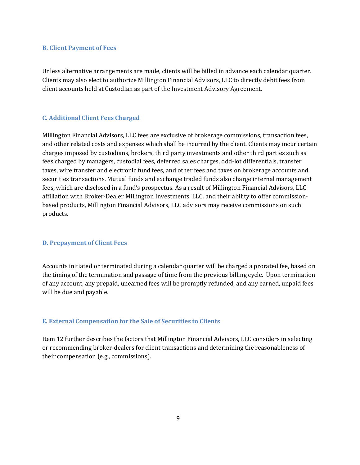#### <span id="page-12-0"></span>**B. Client Payment of Fees**

Unless alternative arrangements are made, clients will be billed in advance each calendar quarter. Clients may also elect to authorize Millington Financial Advisors, LLC to directly debit fees from client accounts held at Custodian as part of the Investment Advisory Agreement.

# <span id="page-12-1"></span>**C. Additional Client Fees Charged**

Millington Financial Advisors, LLC fees are exclusive of brokerage commissions, transaction fees, and other related costs and expenses which shall be incurred by the client. Clients may incur certain charges imposed by custodians, brokers, third party investments and other third parties such as fees charged by managers, custodial fees, deferred sales charges, odd-lot differentials, transfer taxes, wire transfer and electronic fund fees, and other fees and taxes on brokerage accounts and securities transactions. Mutual funds and exchange traded funds also charge internal management fees, which are disclosed in a fund's prospectus. As a result of Millington Financial Advisors, LLC affiliation with Broker-Dealer Millington Investments, LLC. and their ability to offer commissionbased products, Millington Financial Advisors, LLC advisors may receive commissions on such products.

#### <span id="page-12-2"></span>**D. Prepayment of Client Fees**

Accounts initiated or terminated during a calendar quarter will be charged a prorated fee, based on the timing of the termination and passage of time from the previous billing cycle. Upon termination of any account, any prepaid, unearned fees will be promptly refunded, and any earned, unpaid fees will be due and payable.

#### <span id="page-12-3"></span>**E. External Compensation for the Sale of Securities to Clients**

Item 12 further describes the factors that Millington Financial Advisors, LLC considers in selecting or recommending broker-dealers for client transactions and determining the reasonableness of their compensation (e.g*.*, commissions).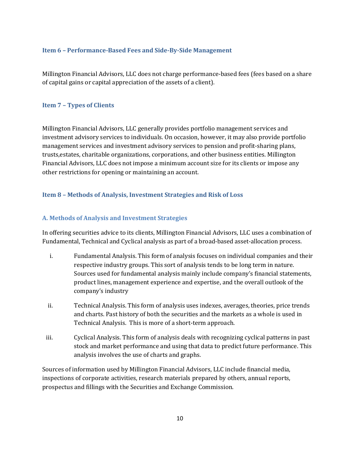#### <span id="page-13-0"></span>**Item 6 – Performance-Based Fees and Side-By-Side Management**

Millington Financial Advisors, LLC does not charge performance-based fees (fees based on a share of capital gains or capital appreciation of the assets of a client).

# <span id="page-13-1"></span>**Item 7 – Types of Clients**

Millington Financial Advisors, LLC generally provides portfolio management services and investment advisory services to individuals. On occasion, however, it may also provide portfolio management services and investment advisory services to pension and profit-sharing plans, trusts, estates, charitable organizations, corporations, and other business entities. Millington Financial Advisors, LLC does not impose a minimum account size for its clients or impose any other restrictions for opening or maintaining an account.

#### <span id="page-13-2"></span>**Item 8 – Methods of Analysis, Investment Strategies and Risk of Loss**

#### <span id="page-13-3"></span>**A. Methods of Analysis and Investment Strategies**

In offering securities advice to its clients, Millington Financial Advisors, LLC uses a combination of Fundamental, Technical and Cyclical analysis as part of a broad-based asset-allocation process.

- i. Fundamental Analysis. This form of analysis focuses on individual companies and their respective industry groups. This sort of analysis tends to be long term in nature. Sources used for fundamental analysis mainly include company's financial statements, product lines, management experience and expertise, and the overall outlook of the company's industry
- ii. Technical Analysis. This form of analysis uses indexes, averages, theories, price trends and charts. Past history of both the securities and the markets as a whole is used in Technical Analysis. This is more of a short-term approach.
- iii. Cyclical Analysis. This form of analysis deals with recognizing cyclical patterns in past stock and market performance and using that data to predict future performance. This analysis involves the use of charts and graphs.

Sources of information used by Millington Financial Advisors, LLC include financial media, inspections of corporate activities, research materials prepared by others, annual reports, prospectus and fillings with the Securities and Exchange Commission.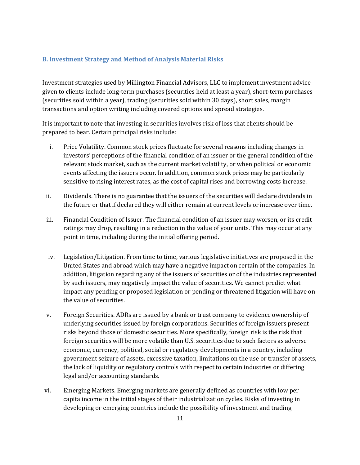# <span id="page-14-0"></span>**B. Investment Strategy and Method of Analysis Material Risks**

Investment strategies used by Millington Financial Advisors, LLC to implement investment advice given to clients include long-term purchases (securities held at least a year), short-term purchases (securities sold within a year), trading (securities sold within 30 days), short sales, margin transactions and option writing including covered options and spread strategies.

It is important to note that investing in securities involves risk of loss that clients should be prepared to bear. Certain principal risks include:

- i. Price Volatility. Common stock prices fluctuate for several reasons including changes in investors' perceptions of the financial condition of an issuer or the general condition of the relevant stock market, such as the current market volatility, or when political or economic events affecting the issuers occur. In addition, common stock prices may be particularly sensitive to rising interest rates, as the cost of capital rises and borrowing costs increase.
- ii. Dividends. There is no guarantee that the issuers of the securities will declare dividends in the future or that if declared they will either remain at current levels or increase over time.
- iii. Financial Condition of Issuer. The financial condition of an issuer may worsen, or its credit ratings may drop, resulting in a reduction in the value of your units. This may occur at any point in time, including during the initial offering period.
- iv. Legislation/Litigation. From time to time, various legislative initiatives are proposed in the United States and abroad which may have a negative impact on certain of the companies. In addition, litigation regarding any of the issuers of securities or of the industries represented by such issuers, may negatively impact the value of securities. We cannot predict what impact any pending or proposed legislation or pending or threatened litigation will have on the value of securities.
- v. Foreign Securities. ADRs are issued by a bank or trust company to evidence ownership of underlying securities issued by foreign corporations. Securities of foreign issuers present risks beyond those of domestic securities. More specifically, foreign risk is the risk that foreign securities will be more volatile than U.S. securities due to such factors as adverse economic, currency, political, social or regulatory developments in a country, including government seizure of assets, excessive taxation, limitations on the use or transfer of assets, the lack of liquidity or regulatory controls with respect to certain industries or differing legal and/or accounting standards.
- vi. Emerging Markets. Emerging markets are generally defined as countries with low per capita income in the initial stages of their industrialization cycles. Risks of investing in developing or emerging countries include the possibility of investment and trading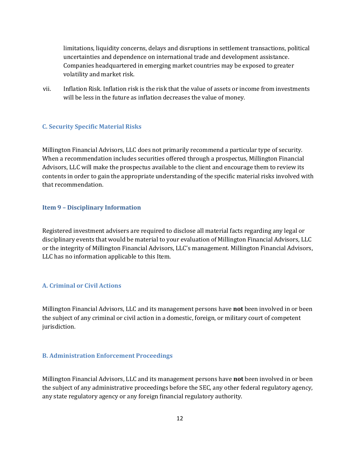limitations, liquidity concerns, delays and disruptions in settlement transactions, political uncertainties and dependence on international trade and development assistance. Companies headquartered in emerging market countries may be exposed to greater volatility and market risk.

vii. Inflation Risk. Inflation risk is the risk that the value of assets or income from investments will be less in the future as inflation decreases the value of money.

# <span id="page-15-0"></span>**C. Security Specific Material Risks**

Millington Financial Advisors, LLC does not primarily recommend a particular type of security. When a recommendation includes securities offered through a prospectus, Millington Financial Advisors, LLC will make the prospectus available to the client and encourage them to review its contents in order to gain the appropriate understanding of the specific material risks involved with that recommendation.

### <span id="page-15-1"></span>**Item 9 – Disciplinary Information**

Registered investment advisers are required to disclose all material facts regarding any legal or disciplinary events that would be material to your evaluation of Millington Financial Advisors, LLC or the integrity of Millington Financial Advisors, LLC's management. Millington Financial Advisors, LLC has no information applicable to this Item.

# <span id="page-15-2"></span>**A. Criminal or Civil Actions**

Millington Financial Advisors, LLC and its management persons have **not** been involved in or been the subject of any criminal or civil action in a domestic, foreign, or military court of competent jurisdiction.

# <span id="page-15-3"></span>**B. Administration Enforcement Proceedings**

Millington Financial Advisors, LLC and its management persons have **not** been involved in or been the subject of any administrative proceedings before the SEC, any other federal regulatory agency, any state regulatory agency or any foreign financial regulatory authority.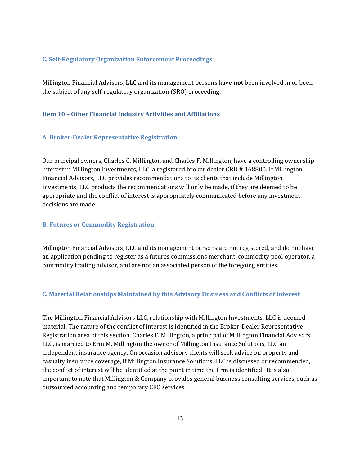# <span id="page-16-0"></span>**C. Self-Regulatory Organization Enforcement Proceedings**

Millington Financial Advisors, LLC and its management persons have **not** been involved in or been the subject of any self-regulatory organization (SRO) proceeding.

### <span id="page-16-1"></span>**Item 10 – Other Financial Industry Activities and Affiliations**

#### <span id="page-16-2"></span>**A. Broker-Dealer Representative Registration**

Our principal owners, Charles G. Millington and Charles F. Millington, have a controlling ownership interest in Millington Investments, LLC. a registered broker dealer CRD # 168800. If Millington Financial Advisors, LLC provides recommendations to its clients that include Millington Investments, LLC products the recommendations will only be made, if they are deemed to be appropriate and the conflict of interest is appropriately communicated before any investment decisions are made.

# <span id="page-16-3"></span>**B. Futures or Commodity Registration**

Millington Financial Advisors, LLC and its management persons are not registered, and do not have an application pending to register as a futures commissions merchant, commodity pool operator, a commodity trading advisor, and are not an associated person of the foregoing entities.

#### <span id="page-16-4"></span>**C. Material Relationships Maintained by this Advisory Business and Conflicts of Interest**

The Millington Financial Advisors LLC, relationship with Millington Investments, LLC is deemed material. The nature of the conflict of interest is identified in the Broker-Dealer Representative Registration area of this section. Charles F. Millington, a principal of Millington Financial Advisors, LLC, is married to Erin M. Millington the owner of Millington Insurance Solutions, LLC an independent insurance agency. On occasion advisory clients will seek advice on property and casualty insurance coverage, if Millington Insurance Solutions, LLC is discussed or recommended, the conflict of interest will be identified at the point in time the firm is identified. It is also important to note that Millington & Company provides general business consulting services, such as outsourced accounting and temporary CFO services.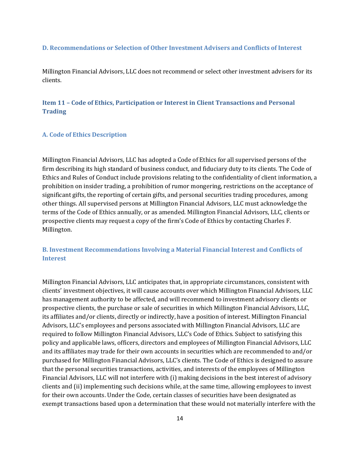#### <span id="page-17-0"></span>**D. Recommendations or Selection of Other Investment Advisers and Conflicts of Interest**

Millington Financial Advisors, LLC does not recommend or select other investment advisers for its clients.

# <span id="page-17-1"></span>**Item 11 – Code of Ethics, Participation or Interest in Client Transactions and Personal Trading**

#### <span id="page-17-2"></span>**A. Code of Ethics Description**

Millington Financial Advisors, LLC has adopted a Code of Ethics for all supervised persons of the firm describing its high standard of business conduct, and fiduciary duty to its clients. The Code of Ethics and Rules of Conduct include provisions relating to the confidentiality of client information, a prohibition on insider trading, a prohibition of rumor mongering, restrictions on the acceptance of significant gifts, the reporting of certain gifts, and personal securities trading procedures, among other things. All supervised persons at Millington Financial Advisors, LLC must acknowledge the terms of the Code of Ethics annually, or as amended. Millington Financial Advisors, LLC, clients or prospective clients may request a copy of the firm's Code of Ethics by contacting Charles F. Millington.

# <span id="page-17-3"></span>**B. Investment Recommendations Involving a Material Financial Interest and Conflicts of Interest**

Millington Financial Advisors, LLC anticipates that, in appropriate circumstances, consistent with clients' investment objectives, it will cause accounts over which Millington Financial Advisors, LLC has management authority to be affected, and will recommend to investment advisory clients or prospective clients, the purchase or sale of securities in which Millington Financial Advisors, LLC, its affiliates and/or clients, directly or indirectly, have a position of interest. Millington Financial Advisors, LLC's employees and persons associated with Millington Financial Advisors, LLC are required to follow Millington Financial Advisors, LLC's Code of Ethics. Subject to satisfying this policy and applicable laws, officers, directors and employees of Millington Financial Advisors, LLC and its affiliates may trade for their own accounts in securities which are recommended to and/or purchased for Millington Financial Advisors, LLC's clients. The Code of Ethics is designed to assure that the personal securities transactions, activities, and interests of the employees of Millington Financial Advisors, LLC will not interfere with (i) making decisions in the best interest of advisory clients and (ii) implementing such decisions while, at the same time, allowing employees to invest for their own accounts. Under the Code, certain classes of securities have been designated as exempt transactions based upon a determination that these would not materially interfere with the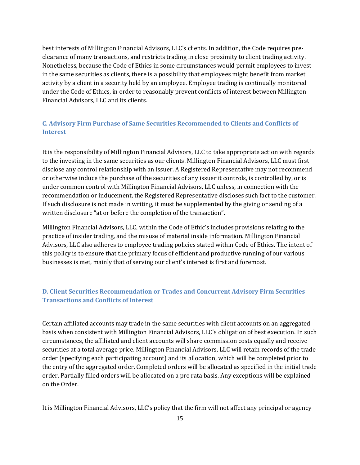best interests of Millington Financial Advisors, LLC's clients. In addition, the Code requires preclearance of many transactions, and restricts trading in close proximity to client trading activity. Nonetheless, because the Code of Ethics in some circumstances would permit employees to invest in the same securities as clients, there is a possibility that employees might benefit from market activity by a client in a security held by an employee. Employee trading is continually monitored under the Code of Ethics, in order to reasonably prevent conflicts of interest between Millington Financial Advisors, LLC and its clients.

# <span id="page-18-0"></span>**C. Advisory Firm Purchase of Same Securities Recommended to Clients and Conflicts of Interest**

It is the responsibility of Millington Financial Advisors, LLC to take appropriate action with regards to the investing in the same securities as our clients. Millington Financial Advisors, LLC must first disclose any control relationship with an issuer. A Registered Representative may not recommend or otherwise induce the purchase of the securities of any issuer it controls, is controlled by, or is under common control with Millington Financial Advisors, LLC unless, in connection with the recommendation or inducement, the Registered Representative discloses such fact to the customer. If such disclosure is not made in writing, it must be supplemented by the giving or sending of a written disclosure "at or before the completion of the transaction".

Millington Financial Advisors, LLC, within the Code of Ethic's includes provisions relating to the practice of insider trading, and the misuse of material inside information. Millington Financial Advisors, LLC also adheres to employee trading policies stated within Code of Ethics. The intent of this policy is to ensure that the primary focus of efficient and productive running of our various businesses is met, mainly that of serving our client's interest is first and foremost.

# <span id="page-18-1"></span>**D. Client Securities Recommendation or Trades and Concurrent Advisory Firm Securities Transactions and Conflicts of Interest**

Certain affiliated accounts may trade in the same securities with client accounts on an aggregated basis when consistent with Millington Financial Advisors, LLC's obligation of best execution. In such circumstances, the affiliated and client accounts will share commission costs equally and receive securities at a total average price. Millington Financial Advisors, LLC will retain records of the trade order (specifying each participating account) and its allocation, which will be completed prior to the entry of the aggregated order. Completed orders will be allocated as specified in the initial trade order. Partially filled orders will be allocated on a pro rata basis. Any exceptions will be explained on the Order.

It is Millington Financial Advisors, LLC's policy that the firm will not affect any principal or agency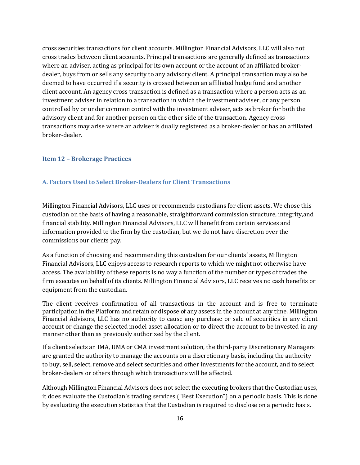cross securities transactions for client accounts. Millington Financial Advisors, LLC will also not cross trades between client accounts. Principal transactions are generally defined as transactions where an adviser, acting as principal for its own account or the account of an affiliated brokerdealer, buys from or sells any security to any advisory client. A principal transaction may also be deemed to have occurred if a security is crossed between an affiliated hedge fund and another client account. An agency cross transaction is defined as a transaction where a person acts as an investment adviser in relation to a transaction in which the investment adviser, or any person controlled by or under common control with the investment adviser, acts as broker for both the advisory client and for another person on the other side of the transaction. Agency cross transactions may arise where an adviser is dually registered as a broker-dealer or has an affiliated broker-dealer.

#### <span id="page-19-0"></span>**Item 12 – Brokerage Practices**

# <span id="page-19-1"></span>**A. Factors Used to Select Broker-Dealers for Client Transactions**

Millington Financial Advisors, LLC uses or recommends custodians for client assets. We chose this custodian on the basis of having a reasonable, straightforward commission structure, integrity, and financial stability. Millington Financial Advisors, LLC will benefit from certain services and information provided to the firm by the custodian, but we do not have discretion over the commissions our clients pay.

As a function of choosing and recommending this custodian for our clients' assets, Millington Financial Advisors, LLC enjoys access to research reports to which we might not otherwise have access. The availability of these reports is no way a function of the number or types of trades the firm executes on behalf of its clients. Millington Financial Advisors, LLC receives no cash benefits or equipment from the custodian.

The client receives confirmation of all transactions in the account and is free to terminate participation in the Platform and retain or dispose of any assets in the account at any time. Millington Financial Advisors, LLC has no authority to cause any purchase or sale of securities in any client account or change the selected model asset allocation or to direct the account to be invested in any manner other than as previously authorized by the client.

If a client selects an IMA, UMA or CMA investment solution, the third-party Discretionary Managers are granted the authority to manage the accounts on a discretionary basis, including the authority to buy, sell, select, remove and select securities and other investments for the account, and to select broker-dealers or others through which transactions will be affected.

Although Millington Financial Advisors does not select the executing brokers that the Custodian uses, it does evaluate the Custodian's trading services ("Best Execution") on a periodic basis. This is done by evaluating the execution statistics that the Custodian is required to disclose on a periodic basis.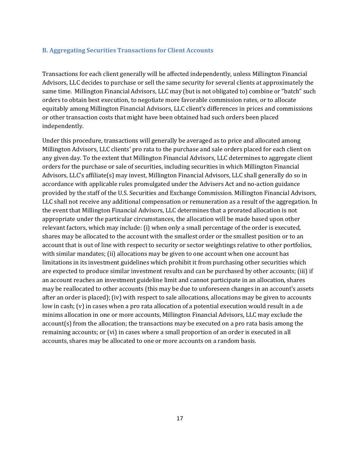#### <span id="page-20-0"></span>**B. Aggregating Securities Transactions for Client Accounts**

Transactions for each client generally will be affected independently, unless Millington Financial Advisors, LLC decides to purchase or sell the same security for several clients at approximately the same time. Millington Financial Advisors, LLC may (but is not obligated to) combine or "batch" such orders to obtain best execution, to negotiate more favorable commission rates, or to allocate equitably among Millington Financial Advisors, LLC client's differences in prices and commissions or other transaction costs that might have been obtained had such orders been placed independently.

Under this procedure, transactions will generally be averaged as to price and allocated among Millington Advisors, LLC clients' pro rata to the purchase and sale orders placed for each client on any given day. To the extent that Millington Financial Advisors, LLC determines to aggregate client orders for the purchase or sale of securities, including securities in which Millington Financial Advisors, LLC's affiliate(s) may invest, Millington Financial Advisors, LLC shall generally do so in accordance with applicable rules promulgated under the Advisers Act and no-action guidance provided by the staff of the U.S. Securities and Exchange Commission. Millington Financial Advisors, LLC shall not receive any additional compensation or remuneration as a result of the aggregation. In the event that Millington Financial Advisors, LLC determines that a prorated allocation is not appropriate under the particular circumstances, the allocation will be made based upon other relevant factors, which may include: (i) when only a small percentage of the order is executed, shares may be allocated to the account with the smallest order or the smallest position or to an account that is out of line with respect to security or sector weightings relative to other portfolios, with similar mandates; (ii) allocations may be given to one account when one account has limitations in its investment guidelines which prohibit it from purchasing other securities which are expected to produce similar investment results and can be purchased by other accounts; (iii) if an account reaches an investment guideline limit and cannot participate in an allocation, shares may be reallocated to other accounts (this may be due to unforeseen changes in an account's assets after an order is placed); (iv) with respect to sale allocations, allocations may be given to accounts low in cash; (v) in cases when a pro rata allocation of a potential execution would result in a de minims allocation in one or more accounts, Millington Financial Advisors, LLC may exclude the account(s) from the allocation; the transactions may be executed on a pro rata basis among the remaining accounts; or (vi) in cases where a small proportion of an order is executed in all accounts, shares may be allocated to one or more accounts on a random basis.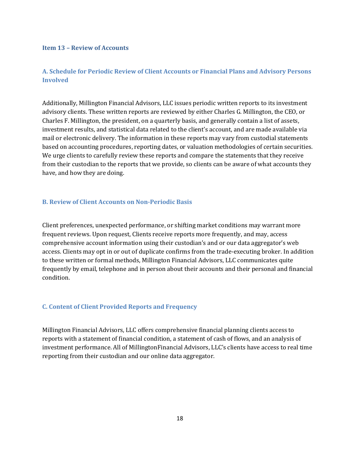# <span id="page-21-0"></span>**Item 13 – Review of Accounts**

# <span id="page-21-1"></span>**A. Schedule for Periodic Review of Client Accounts or Financial Plans and Advisory Persons Involved**

Additionally, Millington Financial Advisors, LLC issues periodic written reports to its investment advisory clients. These written reports are reviewed by either Charles G. Millington, the CEO, or Charles F. Millington, the president, on a quarterly basis, and generally contain a list of assets, investment results, and statistical data related to the client's account, and are made available via mail or electronic delivery. The information in these reports may vary from custodial statements based on accounting procedures, reporting dates, or valuation methodologies of certain securities. We urge clients to carefully review these reports and compare the statements that they receive from their custodian to the reports that we provide, so clients can be aware of what accounts they have, and how they are doing.

# <span id="page-21-2"></span>**B. Review of Client Accounts on Non-Periodic Basis**

Client preferences, unexpected performance, or shifting market conditions may warrant more frequent reviews. Upon request, Clients receive reports more frequently, and may, access comprehensive account information using their custodian's and or our data aggregator's web access. Clients may opt in or out of duplicate confirms from the trade-executing broker. In addition to these written or formal methods, Millington Financial Advisors, LLC communicates quite frequently by email, telephone and in person about their accounts and their personal and financial condition.

#### <span id="page-21-3"></span>**C. Content of Client Provided Reports and Frequency**

Millington Financial Advisors, LLC offers comprehensive financial planning clients access to reports with a statement of financial condition, a statement of cash of flows, and an analysis of investment performance. All of Millington Financial Advisors, LLC's clients have access to real time reporting from their custodian and our online data aggregator.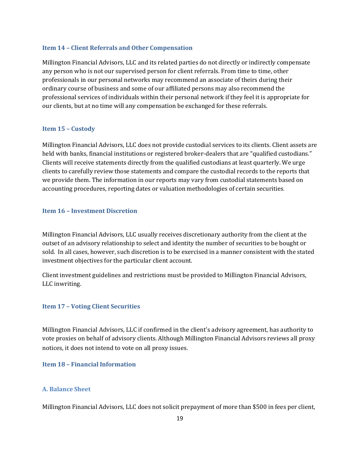#### <span id="page-22-0"></span>**Item 14 – Client Referrals and Other Compensation**

Millington Financial Advisors, LLC and its related parties do not directly or indirectly compensate any person who is not our supervised person for client referrals. From time to time, other professionals in our personal networks may recommend an associate of theirs during their ordinary course of business and some of our affiliated persons may also recommend the professional services of individuals within their personal network if they feel it is appropriate for our clients, but at no time will any compensation be exchanged for these referrals.

#### <span id="page-22-1"></span>**Item 15 – Custody**

Millington Financial Advisors, LLC does not provide custodial services to its clients. Client assets are held with banks, financial institutions or registered broker-dealers that are "qualified custodians." Clients will receive statements directly from the qualified custodians at least quarterly. We urge clients to carefully review those statements and compare the custodial records to the reports that we provide them. The information in our reports may vary from custodial statements based on accounting procedures, reporting dates or valuation methodologies of certain securities.

#### <span id="page-22-2"></span>**Item 16 – Investment Discretion**

Millington Financial Advisors, LLC usually receives discretionary authority from the client at the outset of an advisory relationship to select and identity the number of securities to be bought or sold. In all cases, however, such discretion is to be exercised in a manner consistent with the stated investment objectives for the particular client account.

Client investment guidelines and restrictions must be provided to Millington Financial Advisors, LLC in writing.

# <span id="page-22-3"></span>**Item 17 – Voting Client Securities**

Millington Financial Advisors, LLC if confirmed in the client's advisory agreement, has authority to vote proxies on behalf of advisory clients. Although Millington Financial Advisors reviews all proxy notices, it does not intend to vote on all proxy issues.

<span id="page-22-4"></span>**Item 18 – Financial Information**

# <span id="page-22-5"></span>**A. Balance Sheet**

Millington Financial Advisors, LLC does not solicit prepayment of more than \$500 in fees per client,